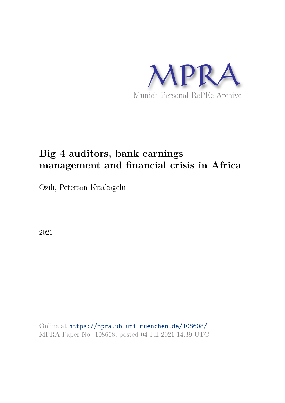

# **Big 4 auditors, bank earnings management and financial crisis in Africa**

Ozili, Peterson Kitakogelu

2021

Online at https://mpra.ub.uni-muenchen.de/108608/ MPRA Paper No. 108608, posted 04 Jul 2021 14:39 UTC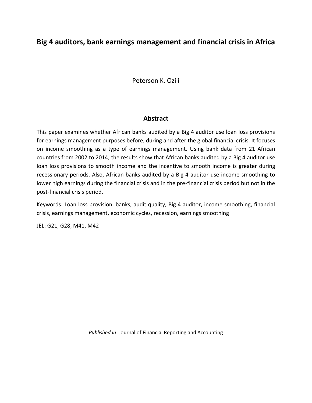# **Big 4 auditors, bank earnings management and financial crisis in Africa**

Peterson K. Ozili

#### **Abstract**

This paper examines whether African banks audited by a Big 4 auditor use loan loss provisions for earnings management purposes before, during and after the global financial crisis. It focuses on income smoothing as a type of earnings management. Using bank data from 21 African countries from 2002 to 2014, the results show that African banks audited by a Big 4 auditor use loan loss provisions to smooth income and the incentive to smooth income is greater during recessionary periods. Also, African banks audited by a Big 4 auditor use income smoothing to lower high earnings during the financial crisis and in the pre-financial crisis period but not in the post-financial crisis period.

Keywords: Loan loss provision, banks, audit quality, Big 4 auditor, income smoothing, financial crisis, earnings management, economic cycles, recession, earnings smoothing

JEL: G21, G28, M41, M42

*Published in*: Journal of Financial Reporting and Accounting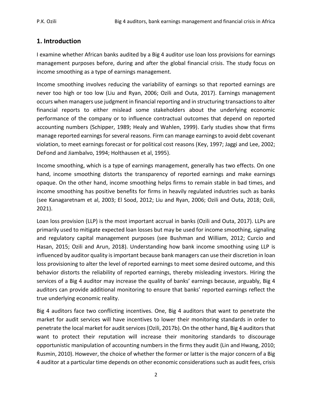# **1. Introduction**

I examine whether African banks audited by a Big 4 auditor use loan loss provisions for earnings management purposes before, during and after the global financial crisis. The study focus on income smoothing as a type of earnings management.

Income smoothing involves reducing the variability of earnings so that reported earnings are never too high or too low (Liu and Ryan, 2006; Ozili and Outa, 2017). Earnings management occurs when managers use judgment in financial reporting and in structuring transactions to alter financial reports to either mislead some stakeholders about the underlying economic performance of the company or to influence contractual outcomes that depend on reported accounting numbers (Schipper, 1989; Healy and Wahlen, 1999). Early studies show that firms manage reported earnings for several reasons. Firm can manage earnings to avoid debt covenant violation, to meet earnings forecast or for political cost reasons (Key, 1997; Jaggi and Lee, 2002; DeFond and Jiambalvo, 1994; Holthausen et al, 1995).

Income smoothing, which is a type of earnings management, generally has two effects. On one hand, income smoothing distorts the transparency of reported earnings and make earnings opaque. On the other hand, income smoothing helps firms to remain stable in bad times, and income smoothing has positive benefits for firms in heavily regulated industries such as banks (see Kanagaretnam et al, 2003; El Sood, 2012; Liu and Ryan, 2006; Ozili and Outa, 2018; Ozili, 2021).

Loan loss provision (LLP) is the most important accrual in banks (Ozili and Outa, 2017). LLPs are primarily used to mitigate expected loan losses but may be used for income smoothing, signaling and regulatory capital management purposes (see Bushman and William, 2012; Curcio and Hasan, 2015; Ozili and Arun, 2018). Understanding how bank income smoothing using LLP is influenced by auditor quality is important because bank managers can use their discretion in loan loss provisioning to alter the level of reported earnings to meet some desired outcome, and this behavior distorts the reliability of reported earnings, thereby misleading investors. Hiring the services of a Big 4 auditor may increase the quality of banks' earnings because, arguably, Big 4 auditors can provide additional monitoring to ensure that banks' reported earnings reflect the true underlying economic reality.

Big 4 auditors face two conflicting incentives. One, Big 4 auditors that want to penetrate the market for audit services will have incentives to lower their monitoring standards in order to penetrate the local market for audit services (Ozili, 2017b). On the other hand, Big 4 auditors that want to protect their reputation will increase their monitoring standards to discourage opportunistic manipulation of accounting numbers in the firms they audit (Lin and Hwang, 2010; Rusmin, 2010). However, the choice of whether the former or latter is the major concern of a Big 4 auditor at a particular time depends on other economic considerations such as audit fees, crisis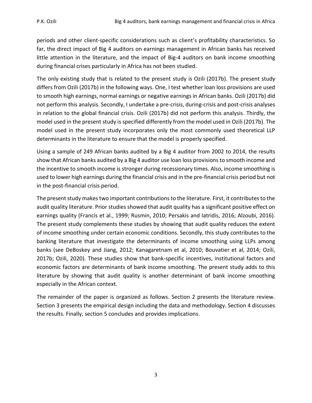periods and other client-specific considerations such as client's profitability characteristics. So far, the direct impact of Big 4 auditors on earnings management in African banks has received little attention in the literature, and the impact of Big-4 auditors on bank income smoothing during financial crises particularly in Africa has not been studied.

The only existing study that is related to the present study is Ozili (2017b). The present study differs from Ozili (2017b) in the following ways. One, I test whether loan loss provisions are used to smooth high earnings, normal earnings or negative earnings in African banks. Ozili (2017b) did not perform this analysis. Secondly, I undertake a pre-crisis, during-crisis and post-crisis analyses in relation to the global financial crisis. Ozili (2017b) did not perform this analysis. Thirdly, the model used in the present study is specified differently from the model used in Ozili (2017b). The model used in the present study incorporates only the most commonly used theoretical LLP determinants in the literature to ensure that the model is properly specified.

Using a sample of 249 African banks audited by a Big 4 auditor from 2002 to 2014, the results show that African banks audited by a Big 4 auditor use loan loss provisions to smooth income and the incentive to smooth income is stronger during recessionary times. Also, income smoothing is used to lower high earnings during the financial crisis and in the pre-financial crisis period but not in the post-financial crisis period.

The present study makes two important contributions to the literature. First, it contributes to the audit quality literature. Prior studies showed that audit quality has a significant positive effect on earnings quality (Francis et al., 1999; Rusmin, 2010; Persakis and Iatridis, 2016; Alzoubi, 2016). The present study complements these studies by showing that audit quality reduces the extent of income smoothing under certain economic conditions. Secondly, this study contributes to the banking literature that investigate the determinants of income smoothing using LLPs among banks (see DeBoskey and Jiang, 2012; Kanagaretnam et al, 2010; Bouvatier et al, 2014; Ozili, 2017b; Ozili, 2020). These studies show that bank-specific incentives, institutional factors and economic factors are determinants of bank income smoothing. The present study adds to this literature by showing that audit quality is another determinant of bank income smoothing especially in the African context.

The remainder of the paper is organized as follows. Section 2 presents the literature review. Section 3 presents the empirical design including the data and methodology. Section 4 discusses the results. Finally, section 5 concludes and provides implications.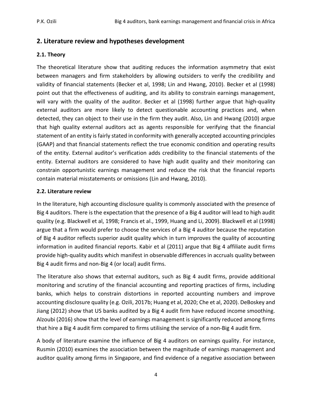# **2. Literature review and hypotheses development**

# **2.1. Theory**

The theoretical literature show that auditing reduces the information asymmetry that exist between managers and firm stakeholders by allowing outsiders to verify the credibility and validity of financial statements (Becker et al, 1998; Lin and Hwang, 2010). Becker et al (1998) point out that the effectiveness of auditing, and its ability to constrain earnings management, will vary with the quality of the auditor. Becker et al (1998) further argue that high-quality external auditors are more likely to detect questionable accounting practices and, when detected, they can object to their use in the firm they audit. Also, Lin and Hwang (2010) argue that high quality external auditors act as agents responsible for verifying that the financial statement of an entity is fairly stated in conformity with generally accepted accounting principles (GAAP) and that financial statements reflect the true economic condition and operating results of the entity. External auditor's verification adds credibility to the financial statements of the entity. External auditors are considered to have high audit quality and their monitoring can constrain opportunistic earnings management and reduce the risk that the financial reports contain material misstatements or omissions (Lin and Hwang, 2010).

# **2.2. Literature review**

In the literature, high accounting disclosure quality is commonly associated with the presence of Big 4 auditors. There is the expectation that the presence of a Big 4 auditor will lead to high audit quality (e.g. Blackwell et al, 1998; Francis et al., 1999, Huang and Li, 2009). Blackwell et al (1998) argue that a firm would prefer to choose the services of a Big 4 auditor because the reputation of Big 4 auditor reflects superior audit quality which in turn improves the quality of accounting information in audited financial reports. Kabir et al (2011) argue that Big 4 affiliate audit firms provide high‐quality audits which manifest in observable differences in accruals quality between Big 4 audit firms and non-Big 4 (or local) audit firms.

The literature also shows that external auditors, such as Big 4 audit firms, provide additional monitoring and scrutiny of the financial accounting and reporting practices of firms, including banks, which helps to constrain distortions in reported accounting numbers and improve accounting disclosure quality (e.g. Ozili, 2017b; Huang et al, 2020; Che et al, 2020). DeBoskey and Jiang (2012) show that US banks audited by a Big 4 audit firm have reduced income smoothing. Alzoubi (2016) show that the level of earnings management is significantly reduced among firms that hire a Big 4 audit firm compared to firms utilising the service of a non-Big 4 audit firm.

A body of literature examine the influence of Big 4 auditors on earnings quality. For instance, Rusmin (2010) examines the association between the magnitude of earnings management and auditor quality among firms in Singapore, and find evidence of a negative association between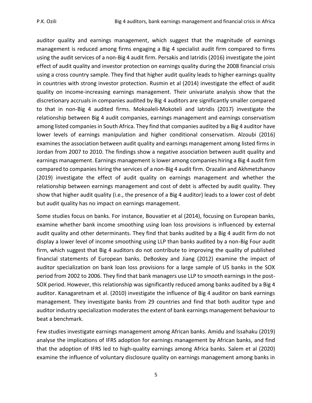auditor quality and earnings management, which suggest that the magnitude of earnings management is reduced among firms engaging a Big 4 specialist audit firm compared to firms using the audit services of a non‐Big 4 audit firm. Persakis and Iatridis (2016) investigate the joint effect of audit quality and investor protection on earnings quality during the 2008 financial crisis using a cross country sample. They find that higher audit quality leads to higher earnings quality in countries with strong investor protection. Rusmin et al (2014) investigate the effect of audit quality on income-increasing earnings management. Their univariate analysis show that the discretionary accruals in companies audited by Big 4 auditors are significantly smaller compared to that in non-Big 4 audited firms. Mokoaleli-Mokoteli and Iatridis (2017) investigate the relationship between Big 4 audit companies, earnings management and earnings conservatism among listed companies in South Africa. They find that companies audited by a Big 4 auditor have lower levels of earnings manipulation and higher conditional conservatism. Alzoubi (2016) examines the association between audit quality and earnings management among listed firms in Jordan from 2007 to 2010. The findings show a negative association between audit quality and earnings management. Earnings management is lower among companies hiring a Big 4 audit firm compared to companies hiring the services of a non-Big 4 audit firm. Orazalin and Akhmetzhanov (2019) investigate the effect of audit quality on earnings management and whether the relationship between earnings management and cost of debt is affected by audit quality. They show that higher audit quality (i.e., the presence of a Big 4 auditor) leads to a lower cost of debt but audit quality has no impact on earnings management.

Some studies focus on banks. For instance, Bouvatier et al (2014), focusing on European banks, examine whether bank income smoothing using loan loss provisions is influenced by external audit quality and other determinants. They find that banks audited by a Big 4 audit firm do not display a lower level of income smoothing using LLP than banks audited by a non-Big Four audit firm, which suggest that Big 4 auditors do not contribute to improving the quality of published financial statements of European banks. DeBoskey and Jiang (2012) examine the impact of auditor specialization on bank loan loss provisions for a large sample of US banks in the SOX period from 2002 to 2006. They find that bank managers use LLP to smooth earnings in the post-SOX period. However, this relationship was significantly reduced among banks audited by a Big 4 auditor. Kanagaretnam et al. (2010) investigate the influence of Big 4 auditor on bank earnings management. They investigate banks from 29 countries and find that both auditor type and auditor industry specialization moderates the extent of bank earnings management behaviour to beat a benchmark.

Few studies investigate earnings management among African banks. Amidu and Issahaku (2019) analyse the implications of IFRS adoption for earnings management by African banks, and find that the adoption of IFRS led to high-quality earnings among Africa banks. Salem et al (2020) examine the influence of voluntary disclosure quality on earnings management among banks in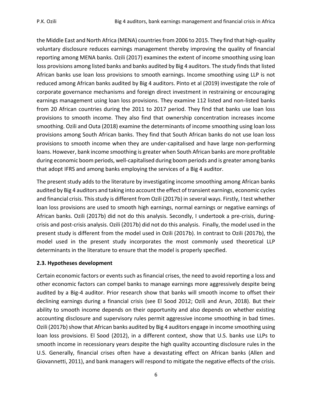the Middle East and North Africa (MENA) countries from 2006 to 2015. They find that high-quality voluntary disclosure reduces earnings management thereby improving the quality of financial reporting among MENA banks. Ozili (2017) examines the extent of income smoothing using loan loss provisions among listed banks and banks audited by Big 4 auditors. The study finds that listed African banks use loan loss provisions to smooth earnings. Income smoothing using LLP is not reduced among African banks audited by Big 4 auditors. Pinto et al (2019) investigate the role of corporate governance mechanisms and foreign direct investment in restraining or encouraging earnings management using loan loss provisions. They examine 112 listed and non-listed banks from 20 African countries during the 2011 to 2017 period. They find that banks use loan loss provisions to smooth income. They also find that ownership concentration increases income smoothing. Ozili and Outa (2018) examine the determinants of income smoothing using loan loss provisions among South African banks. They find that South African banks do not use loan loss provisions to smooth income when they are under-capitalised and have large non-performing loans. However, bank income smoothing is greater when South African banks are more profitable during economic boom periods, well-capitalised during boom periods and is greater among banks that adopt IFRS and among banks employing the services of a Big 4 auditor.

The present study adds to the literature by investigating income smoothing among African banks audited by Big 4 auditors and taking into account the effect of transient earnings, economic cycles and financial crisis. This study is different from Ozili (2017b) in several ways. Firstly, I test whether loan loss provisions are used to smooth high earnings, normal earnings or negative earnings of African banks. Ozili (2017b) did not do this analysis. Secondly, I undertook a pre-crisis, duringcrisis and post-crisis analysis. Ozili (2017b) did not do this analysis. Finally, the model used in the present study is different from the model used in Ozili (2017b). In contrast to Ozili (2017b), the model used in the present study incorporates the most commonly used theoretical LLP determinants in the literature to ensure that the model is properly specified.

# **2.3. Hypotheses development**

Certain economic factors or events such as financial crises, the need to avoid reporting a loss and other economic factors can compel banks to manage earnings more aggressively despite being audited by a Big-4 auditor. Prior research show that banks will smooth income to offset their declining earnings during a financial crisis (see El Sood 2012; Ozili and Arun, 2018). But their ability to smooth income depends on their opportunity and also depends on whether existing accounting disclosure and supervisory rules permit aggressive income smoothing in bad times. Ozili (2017b) show that African banks audited by Big 4 auditors engage in income smoothing using loan loss provisions. El Sood (2012), in a different context, show that U.S. banks use LLPs to smooth income in recessionary years despite the high quality accounting disclosure rules in the U.S. Generally, financial crises often have a devastating effect on African banks (Allen and Giovannetti, 2011), and bank managers will respond to mitigate the negative effects of the crisis.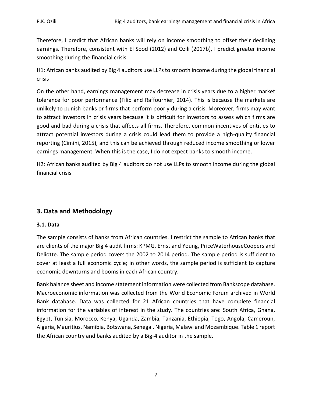Therefore, I predict that African banks will rely on income smoothing to offset their declining earnings. Therefore, consistent with El Sood (2012) and Ozili (2017b), I predict greater income smoothing during the financial crisis.

H1: African banks audited by Big 4 auditors use LLPs to smooth income during the global financial crisis

On the other hand, earnings management may decrease in crisis years due to a higher market tolerance for poor performance (Filip and Raffournier, 2014). This is because the markets are unlikely to punish banks or firms that perform poorly during a crisis. Moreover, firms may want to attract investors in crisis years because it is difficult for investors to assess which firms are good and bad during a crisis that affects all firms. Therefore, common incentives of entities to attract potential investors during a crisis could lead them to provide a high-quality financial reporting (Cimini, 2015), and this can be achieved through reduced income smoothing or lower earnings management. When this is the case, I do not expect banks to smooth income.

H2: African banks audited by Big 4 auditors do not use LLPs to smooth income during the global financial crisis

# **3. Data and Methodology**

# **3.1. Data**

The sample consists of banks from African countries. I restrict the sample to African banks that are clients of the major Big 4 audit firms: KPMG, Ernst and Young, PriceWaterhouseCoopers and Deliotte. The sample period covers the 2002 to 2014 period. The sample period is sufficient to cover at least a full economic cycle; in other words, the sample period is sufficient to capture economic downturns and booms in each African country.

Bank balance sheet and income statement information were collected from Bankscope database. Macroeconomic information was collected from the World Economic Forum archived in World Bank database. Data was collected for 21 African countries that have complete financial information for the variables of interest in the study. The countries are: South Africa, Ghana, Egypt, Tunisia, Morocco, Kenya, Uganda, Zambia, Tanzania, Ethiopia, Togo, Angola, Cameroun, Algeria, Mauritius, Namibia, Botswana, Senegal, Nigeria, Malawi and Mozambique. Table 1 report the African country and banks audited by a Big-4 auditor in the sample.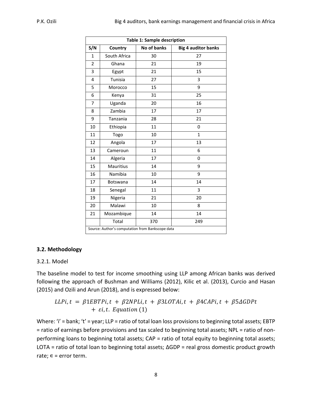| <b>Table 1: Sample description</b> |                                                  |                    |                            |  |  |  |
|------------------------------------|--------------------------------------------------|--------------------|----------------------------|--|--|--|
| S/N                                | Country                                          | <b>No of banks</b> | <b>Big 4 auditor banks</b> |  |  |  |
| $\mathbf{1}$                       | South Africa                                     | 30                 | 27                         |  |  |  |
| $\overline{2}$                     | Ghana                                            | 21                 | 19                         |  |  |  |
| 3                                  | Egypt                                            | 21                 | 15                         |  |  |  |
| 4                                  | Tunisia                                          | 27                 | 3                          |  |  |  |
| 5                                  | Morocco                                          | 15                 | 9                          |  |  |  |
| 6                                  | Kenya                                            | 31                 | 25                         |  |  |  |
| 7                                  | Uganda                                           | 20                 | 16                         |  |  |  |
| 8                                  | Zambia                                           | 17                 | 17                         |  |  |  |
| 9                                  | Tanzania                                         | 28                 | 21                         |  |  |  |
| 10                                 | Ethiopia                                         | 11                 | 0                          |  |  |  |
| 11                                 | Togo                                             | 10                 | $\mathbf{1}$               |  |  |  |
| 12                                 | Angola                                           | 17                 | 13                         |  |  |  |
| 13                                 | Cameroun                                         | 11                 | 6                          |  |  |  |
| 14                                 | Algeria                                          | 17                 | 0                          |  |  |  |
| 15                                 | <b>Mauritius</b>                                 | 14                 | 9                          |  |  |  |
| 16                                 | Namibia                                          | 10                 | 9                          |  |  |  |
| 17                                 | <b>Botswana</b>                                  | 14                 | 14                         |  |  |  |
| 18                                 | Senegal                                          | 11                 | 3                          |  |  |  |
| 19                                 | Nigeria                                          | 21                 | 20                         |  |  |  |
| 20                                 | Malawi                                           | 10                 | 8                          |  |  |  |
| 21                                 | Mozambique                                       | 14                 | 14                         |  |  |  |
|                                    | Total                                            | 370                | 249                        |  |  |  |
|                                    | Source: Author's computation from Bankscope data |                    |                            |  |  |  |

# **3.2. Methodology**

#### 3.2.1. Model

The baseline model to test for income smoothing using LLP among African banks was derived following the approach of Bushman and Williams (2012), Kilic et al. (2013), Curcio and Hasan (2015) and Ozili and Arun (2018), and is expressed below:

$$
LLPi, t = \beta 1EBTPi, t + \beta 2NPLi, t + \beta 3LOTAi, t + \beta 4CAPi, t + \beta 5\Delta GDPt
$$
  
+  $\varepsilon i, t$ . Equation (1)

Where: 'i' = bank; 't' = year; LLP = ratio of total loan loss provisions to beginning total assets; EBTP = ratio of earnings before provisions and tax scaled to beginning total assets; NPL = ratio of nonperforming loans to beginning total assets; CAP = ratio of total equity to beginning total assets; LOTA = ratio of total loan to beginning total assets; ΔGDP = real gross domestic product growth rate;  $\epsilon$  = error term.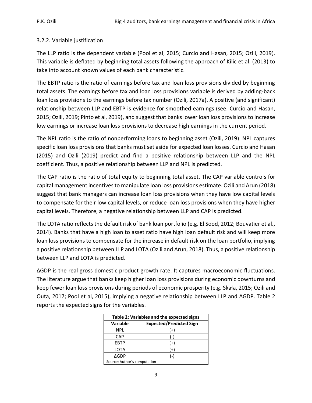# 3.2.2. Variable justification

The LLP ratio is the dependent variable (Pool et al, 2015; Curcio and Hasan, 2015; Ozili, 2019). This variable is deflated by beginning total assets following the approach of Kilic et al. (2013) to take into account known values of each bank characteristic.

The EBTP ratio is the ratio of earnings before tax and loan loss provisions divided by beginning total assets. The earnings before tax and loan loss provisions variable is derived by adding-back loan loss provisions to the earnings before tax number (Ozili, 2017a). A positive (and significant) relationship between LLP and EBTP is evidence for smoothed earnings (see. Curcio and Hasan, 2015; Ozili, 2019; Pinto et al, 2019), and suggest that banks lower loan loss provisions to increase low earnings or increase loan loss provisions to decrease high earnings in the current period.

The NPL ratio is the ratio of nonperforming loans to beginning asset (Ozili, 2019). NPL captures specific loan loss provisions that banks must set aside for expected loan losses. Curcio and Hasan (2015) and Ozili (2019) predict and find a positive relationship between LLP and the NPL coefficient. Thus, a positive relationship between LLP and NPL is predicted.

The CAP ratio is the ratio of total equity to beginning total asset. The CAP variable controls for capital management incentives to manipulate loan loss provisions estimate. Ozili and Arun (2018) suggest that bank managers can increase loan loss provisions when they have low capital levels to compensate for their low capital levels, or reduce loan loss provisions when they have higher capital levels. Therefore, a negative relationship between LLP and CAP is predicted.

The LOTA ratio reflects the default risk of bank loan portfolio (e.g. El Sood, 2012; Bouvatier et al., 2014). Banks that have a high loan to asset ratio have high loan default risk and will keep more loan loss provisions to compensate for the increase in default risk on the loan portfolio, implying a positive relationship between LLP and LOTA (Ozili and Arun, 2018). Thus, a positive relationship between LLP and LOTA is predicted.

ΔGDP is the real gross domestic product growth rate. It captures macroeconomic fluctuations. The literature argue that banks keep higher loan loss provisions during economic downturns and keep fewer loan loss provisions during periods of economic prosperity (e.g. Skała, 2015; Ozili and Outa, 2017; Pool et al, 2015), implying a negative relationship between LLP and ∆GDP. Table 2 reports the expected signs for the variables.

| Table 2: Variables and the expected signs         |       |  |  |  |  |
|---------------------------------------------------|-------|--|--|--|--|
| <b>Expected/Predicted Sign</b><br><b>Variable</b> |       |  |  |  |  |
| <b>NPL</b><br>(+)                                 |       |  |  |  |  |
| CAP                                               | $(-)$ |  |  |  |  |
| <b>EBTP</b>                                       | $(+)$ |  |  |  |  |
| <b>LOTA</b><br>(+)                                |       |  |  |  |  |
| ∆GDP<br>$(-)$                                     |       |  |  |  |  |
| Source: Author's computation                      |       |  |  |  |  |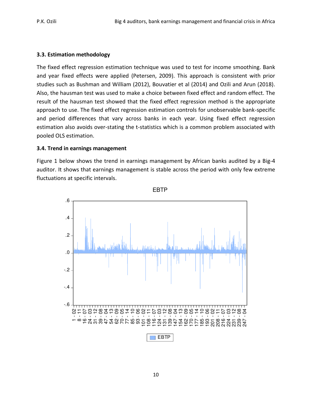# **3.3. Estimation methodology**

The fixed effect regression estimation technique was used to test for income smoothing. Bank and year fixed effects were applied (Petersen, 2009). This approach is consistent with prior studies such as Bushman and William (2012), Bouvatier et al (2014) and Ozili and Arun (2018). Also, the hausman test was used to make a choice between fixed effect and random effect. The result of the hausman test showed that the fixed effect regression method is the appropriate approach to use. The fixed effect regression estimation controls for unobservable bank-specific and period differences that vary across banks in each year. Using fixed effect regression estimation also avoids over-stating the t-statistics which is a common problem associated with pooled OLS estimation.

# **3.4. Trend in earnings management**

Figure 1 below shows the trend in earnings management by African banks audited by a Big-4 auditor. It shows that earnings management is stable across the period with only few extreme fluctuations at specific intervals.



EBTP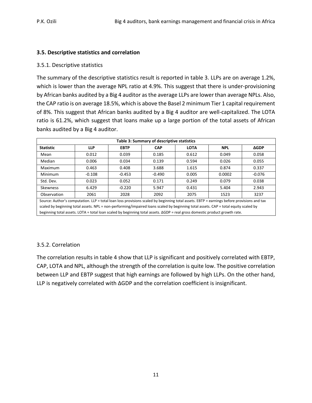# **3.5. Descriptive statistics and correlation**

#### 3.5.1. Descriptive statistics

The summary of the descriptive statistics result is reported in table 3. LLPs are on average 1.2%, which is lower than the average NPL ratio at 4.9%. This suggest that there is under-provisioning by African banks audited by a Big 4 auditor as the average LLPs are lower than average NPLs. Also, the CAP ratio is on average 18.5%, which is above the Basel 2 minimum Tier 1 capital requirement of 8%. This suggest that African banks audited by a Big 4 auditor are well-capitalized. The LOTA ratio is 61.2%, which suggest that loans make up a large portion of the total assets of African banks audited by a Big 4 auditor.

| Table 3: Summary of descriptive statistics                                                                                                 |            |             |            |             |            |             |  |  |
|--------------------------------------------------------------------------------------------------------------------------------------------|------------|-------------|------------|-------------|------------|-------------|--|--|
| <b>Statistic</b>                                                                                                                           | <b>LLP</b> | <b>EBTP</b> | <b>CAP</b> | <b>LOTA</b> | <b>NPL</b> | <b>AGDP</b> |  |  |
| Mean                                                                                                                                       | 0.012      | 0.039       | 0.185      | 0.612       | 0.049      | 0.058       |  |  |
| Median                                                                                                                                     | 0.006      | 0.034       | 0.139      | 0.594       | 0.026      | 0.055       |  |  |
| Maximum                                                                                                                                    | 0.463      | 0.408       | 3.688      | 1.615       | 0.874      | 0.337       |  |  |
| Minimum                                                                                                                                    | $-0.108$   | $-0.453$    | $-0.490$   | 0.005       | 0.0002     | $-0.076$    |  |  |
| Std. Dev.                                                                                                                                  | 0.023      | 0.052       | 0.171      | 0.249       | 0.079      | 0.038       |  |  |
| Skewness                                                                                                                                   | 6.429      | $-0.220$    | 5.947      | 0.431       | 5.404      | 2.943       |  |  |
| Observation                                                                                                                                | 2061       | 2028        | 2092       | 2075        | 1523       | 3237        |  |  |
| Source: Author's computation. LLP = total loan loss provisions scaled by beginning total assets. EBTP = earnings before provisions and tax |            |             |            |             |            |             |  |  |
| scaled by beginning total assets. NPL = non-performing/impaired loans scaled by beginning total assets. CAP = total equity scaled by       |            |             |            |             |            |             |  |  |
| beginning total assets. LOTA = total loan scaled by beginning total assets. $\Delta GDP$ = real gross domestic product growth rate.        |            |             |            |             |            |             |  |  |

# 3.5.2. Correlation

The correlation results in table 4 show that LLP is significant and positively correlated with EBTP, CAP, LOTA and NPL, although the strength of the correlation is quite low. The positive correlation between LLP and EBTP suggest that high earnings are followed by high LLPs. On the other hand, LLP is negatively correlated with ∆GDP and the correlation coefficient is insignificant.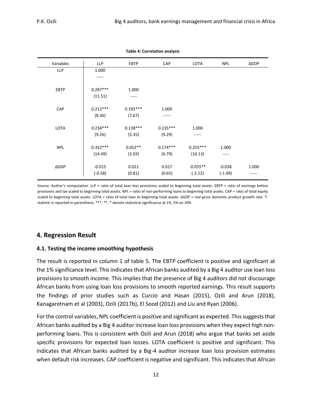| Variables    | <b>LLP</b> | <b>EBTP</b> | <b>CAP</b> | LOTA       | <b>NPL</b> | $\Delta GDP$ |
|--------------|------------|-------------|------------|------------|------------|--------------|
| <b>LLP</b>   | 1.000      |             |            |            |            |              |
|              |            |             |            |            |            |              |
|              |            |             |            |            |            |              |
| <b>EBTP</b>  | $0.287***$ | 1.000       |            |            |            |              |
|              | (11.51)    | -----       |            |            |            |              |
|              |            |             |            |            |            |              |
| CAP          | $0.212***$ | $0.195***$  | 1.000      |            |            |              |
|              | (8.36)     | (7.67)      | -----      |            |            |              |
|              |            |             |            |            |            |              |
| <b>LOTA</b>  | $0.234***$ | $0.138***$  | $0.235***$ | 1.000      |            |              |
|              | (9.26)     | (5.35)      | (9.29)     | -----      |            |              |
|              |            |             |            |            |            |              |
| <b>NPL</b>   | $0.352***$ | $0.052**$   | $0.174***$ | $0.255***$ | 1.000      |              |
|              | (14.49)    | (2.03)      | (6.79)     | (10.13)    | -----      |              |
|              |            |             |            |            |            |              |
| $\Delta GDP$ | $-0.015$   | 0.021       | 0.017      | $-0.055**$ | $-0.038$   | 1.000        |
|              | $(-0.58)$  | (0.81)      | (0.65)     | $(-2.12)$  | $(-1.49)$  | -----        |
|              |            |             |            |            |            |              |

**Table 4: Correlation analysis** 

Source: Author's computation. LLP = ratio of total loan loss provisions scaled to beginning total assets. EBTP = ratio of earnings before provisions and tax scaled to beginning total assets. NPL = ratio of non-performing loans to beginning total assets. CAP = ratio of total equity scaled to beginning total assets. LOTA = ratio of total loan to beginning total assets. ΔGDP = real gross domestic product growth rate. Tstatistic is reported in parenthesis. \*\*\*, \*\*, \* denote statistical significance at 1%, 5% an 10%

# **4. Regression Result**

#### **4.1. Testing the income smoothing hypothesis**

The result is reported in column 1 of table 5. The EBTP coefficient is positive and significant at the 1% significance level. This indicates that African banks audited by a Big 4 auditor use loan loss provisions to smooth income. This implies that the presence of Big 4 auditors did not discourage African banks from using loan loss provisions to smooth reported earnings. This result supports the findings of prior studies such as Curcio and Hasan (2015), Ozili and Arun (2018), Kanagaretnam et al (2003), Ozili (2017b), El Sood (2012) and Liu and Ryan (2006).

For the control variables, NPL coefficient is positive and significant as expected. This suggests that African banks audited by a Big 4 auditor increase loan loss provisions when they expect high nonperforming loans. This is consistent with Ozili and Arun (2018) who argue that banks set aside specific provisions for expected loan losses. LOTA coefficient is positive and significant. This indicates that African banks audited by a Big-4 auditor increase loan loss provision estimates when default risk increases. CAP coefficient is negative and significant. This indicates that African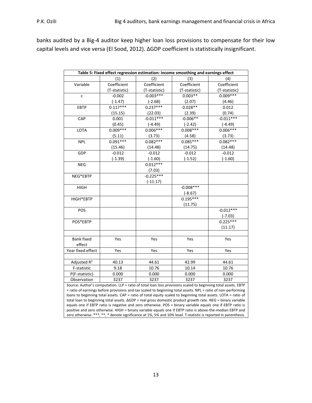banks audited by a Big-4 auditor keep higher loan loss provisions to compensate for their low capital levels and vice versa (El Sood, 2012). ΔGDP coefficient is statistically insignificant.

| Table 5: Fixed effect regression estimation: income smoothing and earnings effect                               |                                                                                                           |               |               |               |  |  |
|-----------------------------------------------------------------------------------------------------------------|-----------------------------------------------------------------------------------------------------------|---------------|---------------|---------------|--|--|
| (1)<br>(2)<br>(3)<br>(4)                                                                                        |                                                                                                           |               |               |               |  |  |
| Variable                                                                                                        | Coefficient                                                                                               | Coefficient   | Coefficient   | Coefficient   |  |  |
|                                                                                                                 | (T-statistic)                                                                                             | (T-statistic) | (T-statistic) | (T-statistic) |  |  |
| $\mathsf{C}$                                                                                                    | $-0.002$                                                                                                  | $-0.003***$   | $0.003**$     | $0.009***$    |  |  |
|                                                                                                                 | $(-1.47)$                                                                                                 | $(-2.68)$     | (2.07)        | (4.46)        |  |  |
| <b>EBTP</b>                                                                                                     | $0.117***$                                                                                                | $0.237***$    | $0.028**$     | 0.012         |  |  |
|                                                                                                                 | (15.15)                                                                                                   | (22.03)       | (2.39)        | (0.74)        |  |  |
| CAP                                                                                                             | 0.001                                                                                                     | $-0.011***$   | $-0.006**$    | $-0.011***$   |  |  |
|                                                                                                                 | (0.45)                                                                                                    | $(-4.49)$     | $(-2.42)$     | $(-4.49)$     |  |  |
| LOTA                                                                                                            | $0.009***$                                                                                                | $0.006***$    | $0.008***$    | $0.006***$    |  |  |
|                                                                                                                 | (5.11)                                                                                                    | (3.73)        | (4.58)        | (3.73)        |  |  |
| <b>NPL</b>                                                                                                      | $0.091***$                                                                                                | $0.082***$    | $0.085***$    | $0.082***$    |  |  |
|                                                                                                                 | (15.46)                                                                                                   | (14.48)       | (14.75)       | (14.48)       |  |  |
| GDP                                                                                                             | $-0.012$                                                                                                  | $-0.012$      | $-0.012$      | $-0.012$      |  |  |
|                                                                                                                 | $(-1.39)$                                                                                                 | $(-1.60)$     | $(-1.52)$     | $(-1.60)$     |  |  |
| <b>NEG</b>                                                                                                      |                                                                                                           | $0.012***$    |               |               |  |  |
|                                                                                                                 |                                                                                                           | (7.03)        |               |               |  |  |
| NEG*EBTP                                                                                                        |                                                                                                           | $-0.225***$   |               |               |  |  |
|                                                                                                                 |                                                                                                           | $(-11.17)$    |               |               |  |  |
| <b>HIGH</b>                                                                                                     |                                                                                                           |               | $-0.008***$   |               |  |  |
|                                                                                                                 |                                                                                                           |               | $(-8.67)$     |               |  |  |
| HIGH*EBTP                                                                                                       |                                                                                                           |               | $0.195***$    |               |  |  |
|                                                                                                                 |                                                                                                           |               | (11.75)       |               |  |  |
| POS                                                                                                             |                                                                                                           |               |               | $-0.012***$   |  |  |
|                                                                                                                 |                                                                                                           |               |               | $(-7.03)$     |  |  |
| POS*EBTP                                                                                                        |                                                                                                           |               |               | $0.225***$    |  |  |
|                                                                                                                 |                                                                                                           |               |               | (11.17)       |  |  |
|                                                                                                                 |                                                                                                           |               |               |               |  |  |
| <b>Bank fixed</b>                                                                                               | Yes                                                                                                       | Yes           | Yes           | Yes           |  |  |
| effect                                                                                                          |                                                                                                           |               |               |               |  |  |
| Year fixed effect                                                                                               | Yes                                                                                                       | Yes           | Yes           | Yes           |  |  |
|                                                                                                                 |                                                                                                           |               |               |               |  |  |
| Adjusted R <sup>2</sup>                                                                                         | 40.13                                                                                                     | 44.61         | 42.99         | 44.61         |  |  |
| F-statistic                                                                                                     | 9.18                                                                                                      | 10.76         | 10.14         | 10.76         |  |  |
| P(F-statistic)                                                                                                  | 0.000                                                                                                     | 0.000         | 0.000         | 0.000         |  |  |
| Observation                                                                                                     | 3237                                                                                                      | 3237          | 3237          | 3237          |  |  |
| Source: Author's computation. LLP = ratio of total loan loss provisions scaled to beginning total assets. EBTP  |                                                                                                           |               |               |               |  |  |
| = ratio of earnings before provisions and tax scaled to beginning total assets. NPL = ratio of non-performing   |                                                                                                           |               |               |               |  |  |
| loans to beginning total assets. CAP = ratio of total equity scaled to beginning total assets. LOTA = ratio of  |                                                                                                           |               |               |               |  |  |
| total loan to beginning total assets. AGDP = real gross domestic product growth rate. NEG = binary variable     |                                                                                                           |               |               |               |  |  |
| equals one if EBTP ratio is negative and zero otherwise. POS = binary variable equals one if EBTP ratio is      |                                                                                                           |               |               |               |  |  |
|                                                                                                                 | positive and zero otherwise. HIGH = binary variable equals one if EBTP ratio is above-the-median EBTP and |               |               |               |  |  |
| zero otherwise. ***, **, * denote significance at 1%, 5% and 10% level. T-statistic is reported in parenthesis. |                                                                                                           |               |               |               |  |  |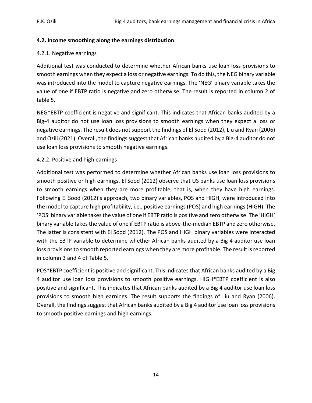#### **4.2. Income smoothing along the earnings distribution**

#### 4.2.1. Negative earnings

Additional test was conducted to determine whether African banks use loan loss provisions to smooth earnings when they expect a loss or negative earnings. To do this, the NEG binary variable was introduced into the model to capture negative earnings. The 'NEG' binary variable takes the value of one if EBTP ratio is negative and zero otherwise. The result is reported in column 2 of table 5.

NEG\*EBTP coefficient is negative and significant. This indicates that African banks audited by a Big-4 auditor do not use loan loss provisions to smooth earnings when they expect a loss or negative earnings. The result does not support the findings of El Sood (2012), Liu and Ryan (2006) and Ozili (2021). Overall, the findings suggest that African banks audited by a Big-4 auditor do not use loan loss provisions to smooth negative earnings.

#### 4.2.2. Positive and high earnings

Additional test was performed to determine whether African banks use loan loss provisions to smooth positive or high earnings. El Sood (2012) observe that US banks use loan loss provisions to smooth earnings when they are more profitable, that is, when they have high earnings. Following El Sood (2012)'s approach, two binary variables, POS and HIGH, were introduced into the model to capture high profitability, i.e., positive earnings (POS) and high earnings (HIGH). The 'POS' binary variable takes the value of one if EBTP ratio is positive and zero otherwise. The 'HIGH' binary variable takes the value of one if EBTP ratio is above-the-median EBTP and zero otherwise. The latter is consistent with El Sood (2012). The POS and HIGH binary variables were interacted with the EBTP variable to determine whether African banks audited by a Big 4 auditor use loan loss provisions to smooth reported earnings when they are more profitable. The result is reported in column 3 and 4 of Table 5.

POS\*EBTP coefficient is positive and significant. This indicates that African banks audited by a Big 4 auditor use loan loss provisions to smooth positive earnings. HIGH\*EBTP coefficient is also positive and significant. This indicates that African banks audited by a Big 4 auditor use loan loss provisions to smooth high earnings. The result supports the findings of Liu and Ryan (2006). Overall, the findings suggest that African banks audited by a Big 4 auditor use loan loss provisions to smooth positive earnings and high earnings.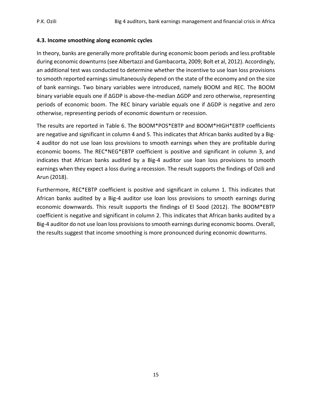# **4.3. Income smoothing along economic cycles**

In theory, banks are generally more profitable during economic boom periods and less profitable during economic downturns (see Albertazzi and Gambacorta, 2009; Bolt et al, 2012). Accordingly, an additional test was conducted to determine whether the incentive to use loan loss provisions to smooth reported earnings simultaneously depend on the state of the economy and on the size of bank earnings. Two binary variables were introduced, namely BOOM and REC. The BOOM binary variable equals one if ∆GDP is above-the-median ∆GDP and zero otherwise, representing periods of economic boom. The REC binary variable equals one if ∆GDP is negative and zero otherwise, representing periods of economic downturn or recession.

The results are reported in Table 6. The BOOM\*POS\*EBTP and BOOM\*HIGH\*EBTP coefficients are negative and significant in column 4 and 5. This indicates that African banks audited by a Big-4 auditor do not use loan loss provisions to smooth earnings when they are profitable during economic booms. The REC\*NEG\*EBTP coefficient is positive and significant in column 3, and indicates that African banks audited by a Big-4 auditor use loan loss provisions to smooth earnings when they expect a loss during a recession. The result supports the findings of Ozili and Arun (2018).

Furthermore, REC\*EBTP coefficient is positive and significant in column 1. This indicates that African banks audited by a Big-4 auditor use loan loss provisions to smooth earnings during economic downwards. This result supports the findings of El Sood (2012). The BOOM\*EBTP coefficient is negative and significant in column 2. This indicates that African banks audited by a Big-4 auditor do not use loan loss provisions to smooth earnings during economic booms. Overall, the results suggest that income smoothing is more pronounced during economic downturns.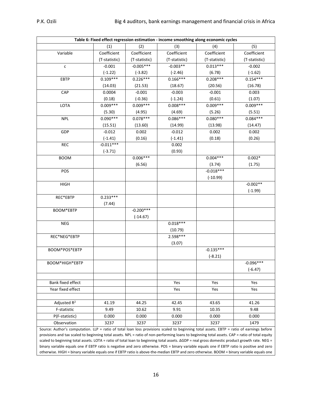| (1)<br>(2)<br>(3)<br>(4)<br>(5)<br>Variable<br>Coefficient<br>Coefficient<br>Coefficient<br>Coefficient<br>Coefficient<br>(T-statistic)<br>(T-statistic)<br>(T-statistic)<br>(T-statistic)<br>(T-statistic)<br>$-0.005***$<br>$-0.003**$<br>$0.013***$<br>$-0.001$<br>$-0.002$<br>$\mathsf{C}$<br>$(-1.22)$<br>$(-1.62)$<br>$(-3.82)$<br>$(-2.46)$<br>(6.78)<br>$0.109***$<br>$0.226***$<br>$0.166***$<br>$0.208***$<br>$0.154***$<br>EBTP<br>(14.03)<br>(21.53)<br>(18.67)<br>(20.56)<br>(16.78)<br>0.0004<br>$-0.001$<br>$-0.003$<br>$-0.001$<br>0.003<br>CAP<br>(0.61)<br>(1.07)<br>(0.18)<br>$(-0.36)$<br>$(-1.24)$<br>$0.008***$<br>$0.009***$<br>$0.009***$<br>$0.009***$<br>$0.009***$<br>LOTA<br>(5.30)<br>(4.95)<br>(4.69)<br>(5.26)<br>(5.51)<br>$0.086***$<br>$0.080***$<br>$0.090***$<br>$0.078***$<br>$0.084***$<br><b>NPL</b><br>(15.51)<br>(13.60)<br>(14.99)<br>(13.98)<br>(14.47)<br>$-0.012$<br>0.002<br>$-0.012$<br>0.002<br>0.002<br>GDP<br>$(-1.41)$<br>(0.16)<br>$(-1.41)$<br>(0.18)<br>(0.26)<br>$-0.011***$<br><b>REC</b><br>0.002<br>(0.93)<br>$(-3.71)$<br>$0.006***$<br>$0.004***$<br>$0.002*$<br><b>BOOM</b><br>(6.56)<br>(3.74)<br>(1.75)<br>$-0.018***$<br>POS<br>$(-10.99)$<br>$-0.002**$<br><b>HIGH</b><br>$(-1.99)$<br>REC*EBTP<br>$0.233***$<br>(7.44)<br>$-0.200***$<br>BOOM*EBTP<br>$(-14.67)$<br>$0.018***$<br><b>NEG</b><br>(10.79)<br>2.598***<br>REC*NEG*EBTP<br>(3.07)<br>$-0.135***$<br>BOOM*POS*EBTP<br>$(-8.21)$<br>$-0.096***$<br>BOOM*HIGH*EBTP<br>$(-6.47)$<br><b>Bank fixed effect</b><br>Yes<br>Yes<br>Yes<br>Year fixed effect<br>Yes<br>Yes<br>Yes<br>Adjusted R <sup>2</sup><br>41.26<br>41.19<br>44.25<br>42.45<br>43.65<br>9.91<br>10.35<br>F-statistic<br>9.49<br>10.62<br>9.48<br>0.000<br>0.000<br>0.000<br>P(F-statistic)<br>0.000<br>0.000<br>Observation<br>3237<br>3237<br>3237<br>3237<br>1479<br>Source: Author's computation. LLP = ratio of total loan loss provisions scaled to beginning total assets. EBTP = ratio of earnings before<br>provisions and tax scaled to beginning total assets. NPL = ratio of non-performing loans to beginning total assets. CAP = ratio of total equity<br>scaled to beginning total assets $10TA =$ ratio of total loan to beginning total assets $AGDP =$ real gross domestic product growth rate. NEG = | Table 6: Fixed effect regression estimation - income smoothing along economic cycles |  |  |  |  |  |  |
|-----------------------------------------------------------------------------------------------------------------------------------------------------------------------------------------------------------------------------------------------------------------------------------------------------------------------------------------------------------------------------------------------------------------------------------------------------------------------------------------------------------------------------------------------------------------------------------------------------------------------------------------------------------------------------------------------------------------------------------------------------------------------------------------------------------------------------------------------------------------------------------------------------------------------------------------------------------------------------------------------------------------------------------------------------------------------------------------------------------------------------------------------------------------------------------------------------------------------------------------------------------------------------------------------------------------------------------------------------------------------------------------------------------------------------------------------------------------------------------------------------------------------------------------------------------------------------------------------------------------------------------------------------------------------------------------------------------------------------------------------------------------------------------------------------------------------------------------------------------------------------------------------------------------------------------------------------------------------------------------------------------------------------------------------------------------------------------------------------------------------------------------------------------------------------------------------------------------------------------------------------------------------------------------------------------------|--------------------------------------------------------------------------------------|--|--|--|--|--|--|
|                                                                                                                                                                                                                                                                                                                                                                                                                                                                                                                                                                                                                                                                                                                                                                                                                                                                                                                                                                                                                                                                                                                                                                                                                                                                                                                                                                                                                                                                                                                                                                                                                                                                                                                                                                                                                                                                                                                                                                                                                                                                                                                                                                                                                                                                                                                 |                                                                                      |  |  |  |  |  |  |
|                                                                                                                                                                                                                                                                                                                                                                                                                                                                                                                                                                                                                                                                                                                                                                                                                                                                                                                                                                                                                                                                                                                                                                                                                                                                                                                                                                                                                                                                                                                                                                                                                                                                                                                                                                                                                                                                                                                                                                                                                                                                                                                                                                                                                                                                                                                 |                                                                                      |  |  |  |  |  |  |
|                                                                                                                                                                                                                                                                                                                                                                                                                                                                                                                                                                                                                                                                                                                                                                                                                                                                                                                                                                                                                                                                                                                                                                                                                                                                                                                                                                                                                                                                                                                                                                                                                                                                                                                                                                                                                                                                                                                                                                                                                                                                                                                                                                                                                                                                                                                 |                                                                                      |  |  |  |  |  |  |
|                                                                                                                                                                                                                                                                                                                                                                                                                                                                                                                                                                                                                                                                                                                                                                                                                                                                                                                                                                                                                                                                                                                                                                                                                                                                                                                                                                                                                                                                                                                                                                                                                                                                                                                                                                                                                                                                                                                                                                                                                                                                                                                                                                                                                                                                                                                 |                                                                                      |  |  |  |  |  |  |
|                                                                                                                                                                                                                                                                                                                                                                                                                                                                                                                                                                                                                                                                                                                                                                                                                                                                                                                                                                                                                                                                                                                                                                                                                                                                                                                                                                                                                                                                                                                                                                                                                                                                                                                                                                                                                                                                                                                                                                                                                                                                                                                                                                                                                                                                                                                 |                                                                                      |  |  |  |  |  |  |
|                                                                                                                                                                                                                                                                                                                                                                                                                                                                                                                                                                                                                                                                                                                                                                                                                                                                                                                                                                                                                                                                                                                                                                                                                                                                                                                                                                                                                                                                                                                                                                                                                                                                                                                                                                                                                                                                                                                                                                                                                                                                                                                                                                                                                                                                                                                 |                                                                                      |  |  |  |  |  |  |
|                                                                                                                                                                                                                                                                                                                                                                                                                                                                                                                                                                                                                                                                                                                                                                                                                                                                                                                                                                                                                                                                                                                                                                                                                                                                                                                                                                                                                                                                                                                                                                                                                                                                                                                                                                                                                                                                                                                                                                                                                                                                                                                                                                                                                                                                                                                 |                                                                                      |  |  |  |  |  |  |
|                                                                                                                                                                                                                                                                                                                                                                                                                                                                                                                                                                                                                                                                                                                                                                                                                                                                                                                                                                                                                                                                                                                                                                                                                                                                                                                                                                                                                                                                                                                                                                                                                                                                                                                                                                                                                                                                                                                                                                                                                                                                                                                                                                                                                                                                                                                 |                                                                                      |  |  |  |  |  |  |
|                                                                                                                                                                                                                                                                                                                                                                                                                                                                                                                                                                                                                                                                                                                                                                                                                                                                                                                                                                                                                                                                                                                                                                                                                                                                                                                                                                                                                                                                                                                                                                                                                                                                                                                                                                                                                                                                                                                                                                                                                                                                                                                                                                                                                                                                                                                 |                                                                                      |  |  |  |  |  |  |
|                                                                                                                                                                                                                                                                                                                                                                                                                                                                                                                                                                                                                                                                                                                                                                                                                                                                                                                                                                                                                                                                                                                                                                                                                                                                                                                                                                                                                                                                                                                                                                                                                                                                                                                                                                                                                                                                                                                                                                                                                                                                                                                                                                                                                                                                                                                 |                                                                                      |  |  |  |  |  |  |
|                                                                                                                                                                                                                                                                                                                                                                                                                                                                                                                                                                                                                                                                                                                                                                                                                                                                                                                                                                                                                                                                                                                                                                                                                                                                                                                                                                                                                                                                                                                                                                                                                                                                                                                                                                                                                                                                                                                                                                                                                                                                                                                                                                                                                                                                                                                 |                                                                                      |  |  |  |  |  |  |
|                                                                                                                                                                                                                                                                                                                                                                                                                                                                                                                                                                                                                                                                                                                                                                                                                                                                                                                                                                                                                                                                                                                                                                                                                                                                                                                                                                                                                                                                                                                                                                                                                                                                                                                                                                                                                                                                                                                                                                                                                                                                                                                                                                                                                                                                                                                 |                                                                                      |  |  |  |  |  |  |
|                                                                                                                                                                                                                                                                                                                                                                                                                                                                                                                                                                                                                                                                                                                                                                                                                                                                                                                                                                                                                                                                                                                                                                                                                                                                                                                                                                                                                                                                                                                                                                                                                                                                                                                                                                                                                                                                                                                                                                                                                                                                                                                                                                                                                                                                                                                 |                                                                                      |  |  |  |  |  |  |
|                                                                                                                                                                                                                                                                                                                                                                                                                                                                                                                                                                                                                                                                                                                                                                                                                                                                                                                                                                                                                                                                                                                                                                                                                                                                                                                                                                                                                                                                                                                                                                                                                                                                                                                                                                                                                                                                                                                                                                                                                                                                                                                                                                                                                                                                                                                 |                                                                                      |  |  |  |  |  |  |
|                                                                                                                                                                                                                                                                                                                                                                                                                                                                                                                                                                                                                                                                                                                                                                                                                                                                                                                                                                                                                                                                                                                                                                                                                                                                                                                                                                                                                                                                                                                                                                                                                                                                                                                                                                                                                                                                                                                                                                                                                                                                                                                                                                                                                                                                                                                 |                                                                                      |  |  |  |  |  |  |
|                                                                                                                                                                                                                                                                                                                                                                                                                                                                                                                                                                                                                                                                                                                                                                                                                                                                                                                                                                                                                                                                                                                                                                                                                                                                                                                                                                                                                                                                                                                                                                                                                                                                                                                                                                                                                                                                                                                                                                                                                                                                                                                                                                                                                                                                                                                 |                                                                                      |  |  |  |  |  |  |
|                                                                                                                                                                                                                                                                                                                                                                                                                                                                                                                                                                                                                                                                                                                                                                                                                                                                                                                                                                                                                                                                                                                                                                                                                                                                                                                                                                                                                                                                                                                                                                                                                                                                                                                                                                                                                                                                                                                                                                                                                                                                                                                                                                                                                                                                                                                 |                                                                                      |  |  |  |  |  |  |
|                                                                                                                                                                                                                                                                                                                                                                                                                                                                                                                                                                                                                                                                                                                                                                                                                                                                                                                                                                                                                                                                                                                                                                                                                                                                                                                                                                                                                                                                                                                                                                                                                                                                                                                                                                                                                                                                                                                                                                                                                                                                                                                                                                                                                                                                                                                 |                                                                                      |  |  |  |  |  |  |
|                                                                                                                                                                                                                                                                                                                                                                                                                                                                                                                                                                                                                                                                                                                                                                                                                                                                                                                                                                                                                                                                                                                                                                                                                                                                                                                                                                                                                                                                                                                                                                                                                                                                                                                                                                                                                                                                                                                                                                                                                                                                                                                                                                                                                                                                                                                 |                                                                                      |  |  |  |  |  |  |
|                                                                                                                                                                                                                                                                                                                                                                                                                                                                                                                                                                                                                                                                                                                                                                                                                                                                                                                                                                                                                                                                                                                                                                                                                                                                                                                                                                                                                                                                                                                                                                                                                                                                                                                                                                                                                                                                                                                                                                                                                                                                                                                                                                                                                                                                                                                 |                                                                                      |  |  |  |  |  |  |
|                                                                                                                                                                                                                                                                                                                                                                                                                                                                                                                                                                                                                                                                                                                                                                                                                                                                                                                                                                                                                                                                                                                                                                                                                                                                                                                                                                                                                                                                                                                                                                                                                                                                                                                                                                                                                                                                                                                                                                                                                                                                                                                                                                                                                                                                                                                 |                                                                                      |  |  |  |  |  |  |
|                                                                                                                                                                                                                                                                                                                                                                                                                                                                                                                                                                                                                                                                                                                                                                                                                                                                                                                                                                                                                                                                                                                                                                                                                                                                                                                                                                                                                                                                                                                                                                                                                                                                                                                                                                                                                                                                                                                                                                                                                                                                                                                                                                                                                                                                                                                 |                                                                                      |  |  |  |  |  |  |
|                                                                                                                                                                                                                                                                                                                                                                                                                                                                                                                                                                                                                                                                                                                                                                                                                                                                                                                                                                                                                                                                                                                                                                                                                                                                                                                                                                                                                                                                                                                                                                                                                                                                                                                                                                                                                                                                                                                                                                                                                                                                                                                                                                                                                                                                                                                 |                                                                                      |  |  |  |  |  |  |
|                                                                                                                                                                                                                                                                                                                                                                                                                                                                                                                                                                                                                                                                                                                                                                                                                                                                                                                                                                                                                                                                                                                                                                                                                                                                                                                                                                                                                                                                                                                                                                                                                                                                                                                                                                                                                                                                                                                                                                                                                                                                                                                                                                                                                                                                                                                 |                                                                                      |  |  |  |  |  |  |
|                                                                                                                                                                                                                                                                                                                                                                                                                                                                                                                                                                                                                                                                                                                                                                                                                                                                                                                                                                                                                                                                                                                                                                                                                                                                                                                                                                                                                                                                                                                                                                                                                                                                                                                                                                                                                                                                                                                                                                                                                                                                                                                                                                                                                                                                                                                 |                                                                                      |  |  |  |  |  |  |
|                                                                                                                                                                                                                                                                                                                                                                                                                                                                                                                                                                                                                                                                                                                                                                                                                                                                                                                                                                                                                                                                                                                                                                                                                                                                                                                                                                                                                                                                                                                                                                                                                                                                                                                                                                                                                                                                                                                                                                                                                                                                                                                                                                                                                                                                                                                 |                                                                                      |  |  |  |  |  |  |
|                                                                                                                                                                                                                                                                                                                                                                                                                                                                                                                                                                                                                                                                                                                                                                                                                                                                                                                                                                                                                                                                                                                                                                                                                                                                                                                                                                                                                                                                                                                                                                                                                                                                                                                                                                                                                                                                                                                                                                                                                                                                                                                                                                                                                                                                                                                 |                                                                                      |  |  |  |  |  |  |
|                                                                                                                                                                                                                                                                                                                                                                                                                                                                                                                                                                                                                                                                                                                                                                                                                                                                                                                                                                                                                                                                                                                                                                                                                                                                                                                                                                                                                                                                                                                                                                                                                                                                                                                                                                                                                                                                                                                                                                                                                                                                                                                                                                                                                                                                                                                 |                                                                                      |  |  |  |  |  |  |
|                                                                                                                                                                                                                                                                                                                                                                                                                                                                                                                                                                                                                                                                                                                                                                                                                                                                                                                                                                                                                                                                                                                                                                                                                                                                                                                                                                                                                                                                                                                                                                                                                                                                                                                                                                                                                                                                                                                                                                                                                                                                                                                                                                                                                                                                                                                 |                                                                                      |  |  |  |  |  |  |
|                                                                                                                                                                                                                                                                                                                                                                                                                                                                                                                                                                                                                                                                                                                                                                                                                                                                                                                                                                                                                                                                                                                                                                                                                                                                                                                                                                                                                                                                                                                                                                                                                                                                                                                                                                                                                                                                                                                                                                                                                                                                                                                                                                                                                                                                                                                 |                                                                                      |  |  |  |  |  |  |
|                                                                                                                                                                                                                                                                                                                                                                                                                                                                                                                                                                                                                                                                                                                                                                                                                                                                                                                                                                                                                                                                                                                                                                                                                                                                                                                                                                                                                                                                                                                                                                                                                                                                                                                                                                                                                                                                                                                                                                                                                                                                                                                                                                                                                                                                                                                 |                                                                                      |  |  |  |  |  |  |
|                                                                                                                                                                                                                                                                                                                                                                                                                                                                                                                                                                                                                                                                                                                                                                                                                                                                                                                                                                                                                                                                                                                                                                                                                                                                                                                                                                                                                                                                                                                                                                                                                                                                                                                                                                                                                                                                                                                                                                                                                                                                                                                                                                                                                                                                                                                 |                                                                                      |  |  |  |  |  |  |
|                                                                                                                                                                                                                                                                                                                                                                                                                                                                                                                                                                                                                                                                                                                                                                                                                                                                                                                                                                                                                                                                                                                                                                                                                                                                                                                                                                                                                                                                                                                                                                                                                                                                                                                                                                                                                                                                                                                                                                                                                                                                                                                                                                                                                                                                                                                 |                                                                                      |  |  |  |  |  |  |
|                                                                                                                                                                                                                                                                                                                                                                                                                                                                                                                                                                                                                                                                                                                                                                                                                                                                                                                                                                                                                                                                                                                                                                                                                                                                                                                                                                                                                                                                                                                                                                                                                                                                                                                                                                                                                                                                                                                                                                                                                                                                                                                                                                                                                                                                                                                 |                                                                                      |  |  |  |  |  |  |
|                                                                                                                                                                                                                                                                                                                                                                                                                                                                                                                                                                                                                                                                                                                                                                                                                                                                                                                                                                                                                                                                                                                                                                                                                                                                                                                                                                                                                                                                                                                                                                                                                                                                                                                                                                                                                                                                                                                                                                                                                                                                                                                                                                                                                                                                                                                 |                                                                                      |  |  |  |  |  |  |
|                                                                                                                                                                                                                                                                                                                                                                                                                                                                                                                                                                                                                                                                                                                                                                                                                                                                                                                                                                                                                                                                                                                                                                                                                                                                                                                                                                                                                                                                                                                                                                                                                                                                                                                                                                                                                                                                                                                                                                                                                                                                                                                                                                                                                                                                                                                 |                                                                                      |  |  |  |  |  |  |
|                                                                                                                                                                                                                                                                                                                                                                                                                                                                                                                                                                                                                                                                                                                                                                                                                                                                                                                                                                                                                                                                                                                                                                                                                                                                                                                                                                                                                                                                                                                                                                                                                                                                                                                                                                                                                                                                                                                                                                                                                                                                                                                                                                                                                                                                                                                 |                                                                                      |  |  |  |  |  |  |
|                                                                                                                                                                                                                                                                                                                                                                                                                                                                                                                                                                                                                                                                                                                                                                                                                                                                                                                                                                                                                                                                                                                                                                                                                                                                                                                                                                                                                                                                                                                                                                                                                                                                                                                                                                                                                                                                                                                                                                                                                                                                                                                                                                                                                                                                                                                 |                                                                                      |  |  |  |  |  |  |
|                                                                                                                                                                                                                                                                                                                                                                                                                                                                                                                                                                                                                                                                                                                                                                                                                                                                                                                                                                                                                                                                                                                                                                                                                                                                                                                                                                                                                                                                                                                                                                                                                                                                                                                                                                                                                                                                                                                                                                                                                                                                                                                                                                                                                                                                                                                 |                                                                                      |  |  |  |  |  |  |
|                                                                                                                                                                                                                                                                                                                                                                                                                                                                                                                                                                                                                                                                                                                                                                                                                                                                                                                                                                                                                                                                                                                                                                                                                                                                                                                                                                                                                                                                                                                                                                                                                                                                                                                                                                                                                                                                                                                                                                                                                                                                                                                                                                                                                                                                                                                 |                                                                                      |  |  |  |  |  |  |
|                                                                                                                                                                                                                                                                                                                                                                                                                                                                                                                                                                                                                                                                                                                                                                                                                                                                                                                                                                                                                                                                                                                                                                                                                                                                                                                                                                                                                                                                                                                                                                                                                                                                                                                                                                                                                                                                                                                                                                                                                                                                                                                                                                                                                                                                                                                 |                                                                                      |  |  |  |  |  |  |
|                                                                                                                                                                                                                                                                                                                                                                                                                                                                                                                                                                                                                                                                                                                                                                                                                                                                                                                                                                                                                                                                                                                                                                                                                                                                                                                                                                                                                                                                                                                                                                                                                                                                                                                                                                                                                                                                                                                                                                                                                                                                                                                                                                                                                                                                                                                 |                                                                                      |  |  |  |  |  |  |
|                                                                                                                                                                                                                                                                                                                                                                                                                                                                                                                                                                                                                                                                                                                                                                                                                                                                                                                                                                                                                                                                                                                                                                                                                                                                                                                                                                                                                                                                                                                                                                                                                                                                                                                                                                                                                                                                                                                                                                                                                                                                                                                                                                                                                                                                                                                 |                                                                                      |  |  |  |  |  |  |
|                                                                                                                                                                                                                                                                                                                                                                                                                                                                                                                                                                                                                                                                                                                                                                                                                                                                                                                                                                                                                                                                                                                                                                                                                                                                                                                                                                                                                                                                                                                                                                                                                                                                                                                                                                                                                                                                                                                                                                                                                                                                                                                                                                                                                                                                                                                 |                                                                                      |  |  |  |  |  |  |
|                                                                                                                                                                                                                                                                                                                                                                                                                                                                                                                                                                                                                                                                                                                                                                                                                                                                                                                                                                                                                                                                                                                                                                                                                                                                                                                                                                                                                                                                                                                                                                                                                                                                                                                                                                                                                                                                                                                                                                                                                                                                                                                                                                                                                                                                                                                 |                                                                                      |  |  |  |  |  |  |

beginning total assets. LOTA = ratio of total loan to beginning total assets. ΔGDP = real gross domestic product gr<br>. binary variable equals one if EBTP ratio is negative and zero otherwise. POS = binary variable equals one if EBTP ratio is positive and zero otherwise. HIGH = binary variable equals one if EBTP ratio is above-the-median EBTP and zero otherwise. BOOM = binary variable equals one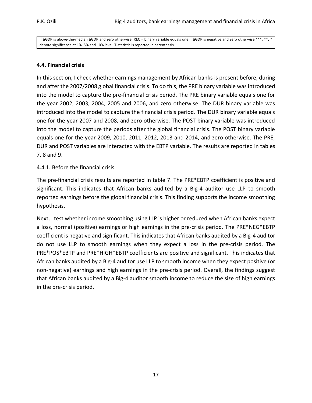if ∆GDP is above-the-median ∆GDP and zero otherwise. REC = binary variable equals one if ∆GDP is negative and zero otherwise \*\*\*, \*\*, \* denote significance at 1%, 5% and 10% level. T-statistic is reported in parenthesis.

# **4.4. Financial crisis**

In this section, I check whether earnings management by African banks is present before, during and after the 2007/2008 global financial crisis. To do this, the PRE binary variable was introduced into the model to capture the pre-financial crisis period. The PRE binary variable equals one for the year 2002, 2003, 2004, 2005 and 2006, and zero otherwise. The DUR binary variable was introduced into the model to capture the financial crisis period. The DUR binary variable equals one for the year 2007 and 2008, and zero otherwise. The POST binary variable was introduced into the model to capture the periods after the global financial crisis. The POST binary variable equals one for the year 2009, 2010, 2011, 2012, 2013 and 2014, and zero otherwise. The PRE, DUR and POST variables are interacted with the EBTP variable. The results are reported in tables 7, 8 and 9.

# 4.4.1. Before the financial crisis

The pre-financial crisis results are reported in table 7. The PRE\*EBTP coefficient is positive and significant. This indicates that African banks audited by a Big-4 auditor use LLP to smooth reported earnings before the global financial crisis. This finding supports the income smoothing hypothesis.

Next, I test whether income smoothing using LLP is higher or reduced when African banks expect a loss, normal (positive) earnings or high earnings in the pre-crisis period. The PRE\*NEG\*EBTP coefficient is negative and significant. This indicates that African banks audited by a Big-4 auditor do not use LLP to smooth earnings when they expect a loss in the pre-crisis period. The PRE\*POS\*EBTP and PRE\*HIGH\*EBTP coefficients are positive and significant. This indicates that African banks audited by a Big-4 auditor use LLP to smooth income when they expect positive (or non-negative) earnings and high earnings in the pre-crisis period. Overall, the findings suggest that African banks audited by a Big-4 auditor smooth income to reduce the size of high earnings in the pre-crisis period.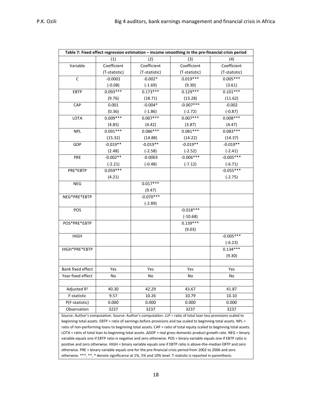| Table 7: Fixed effect regression estimation - income smoothing in the pre-financial crisis period |               |               |                                                                                                                 |               |  |
|---------------------------------------------------------------------------------------------------|---------------|---------------|-----------------------------------------------------------------------------------------------------------------|---------------|--|
|                                                                                                   | (1)           | (2)           | (3)                                                                                                             | (4)           |  |
| Variable                                                                                          | Coefficient   | Coefficient   | Coefficient                                                                                                     | Coefficient   |  |
|                                                                                                   | (T-statistic) | (T-statistic) | (T-statistic)                                                                                                   | (T-statistic) |  |
| $\overline{C}$                                                                                    | $-0.0001$     | $-0.002*$     | $0.019***$                                                                                                      | $0.005***$    |  |
|                                                                                                   | $(-0.08)$     | $(-1.69)$     | (9.30)                                                                                                          | (3.61)        |  |
| EBTP                                                                                              | $0.093***$    | $0.173***$    | $0.129***$                                                                                                      | $0.101***$    |  |
|                                                                                                   | (9.76)        | (18.71)       | (13.28)                                                                                                         | (11.62)       |  |
| CAP                                                                                               | 0.001         | $-0.004*$     | $-0.007***$                                                                                                     | $-0.002$      |  |
|                                                                                                   | (0.36)        | $(-1.86)$     | $(-2.72)$                                                                                                       | $(-0.87)$     |  |
| LOTA                                                                                              | $0.009***$    | $0.007***$    | $0.007***$                                                                                                      | $0.008***$    |  |
|                                                                                                   | (4.85)        | (4.42)        | (3.87)                                                                                                          | (4.47)        |  |
| <b>NPL</b>                                                                                        | $0.091***$    | $0.086***$    | $0.081***$                                                                                                      | $0.083***$    |  |
|                                                                                                   | (15.32)       | (14.88)       | (14.22)                                                                                                         | (14.37)       |  |
| GDP                                                                                               | $-0.019**$    | $-0.019**$    | $-0.019**$                                                                                                      | $-0.019**$    |  |
|                                                                                                   | (2.48)        | $(-2.58)$     | $(-2.52)$                                                                                                       | $(-2.41)$     |  |
| PRE                                                                                               | $-0.002**$    | $-0.0003$     | $-0.006***$                                                                                                     | $-0.005***$   |  |
|                                                                                                   | $(-2.21)$     | $(-0.48)$     | $(-7.12)$                                                                                                       | $(-6.71)$     |  |
| PRE*EBTP                                                                                          | $0.059***$    |               |                                                                                                                 | $-0.055***$   |  |
|                                                                                                   | (4.21)        |               |                                                                                                                 | $(-2.75)$     |  |
| <b>NEG</b>                                                                                        |               | $0.017***$    |                                                                                                                 |               |  |
|                                                                                                   |               | (9.47)        |                                                                                                                 |               |  |
| NEG*PRE*EBTP                                                                                      |               | $-0.070***$   |                                                                                                                 |               |  |
|                                                                                                   |               | $(-2.89)$     |                                                                                                                 |               |  |
| POS                                                                                               |               |               | $-0.018***$                                                                                                     |               |  |
|                                                                                                   |               |               | $(-10.68)$                                                                                                      |               |  |
| POS*PRE*EBTP                                                                                      |               |               | $0.139***$                                                                                                      |               |  |
|                                                                                                   |               |               | (9.03)                                                                                                          |               |  |
| <b>HIGH</b>                                                                                       |               |               |                                                                                                                 | $-0.005***$   |  |
|                                                                                                   |               |               |                                                                                                                 | $(-6.23)$     |  |
| HIGH*PRE*EBTP                                                                                     |               |               |                                                                                                                 | $0.134***$    |  |
|                                                                                                   |               |               |                                                                                                                 | (9.30)        |  |
|                                                                                                   |               |               |                                                                                                                 |               |  |
| Bank fixed effect                                                                                 | Yes           | Yes           | Yes                                                                                                             | Yes           |  |
| Year fixed effect                                                                                 | No            | No            | No                                                                                                              | No            |  |
|                                                                                                   |               |               |                                                                                                                 |               |  |
| Adjusted R <sup>2</sup>                                                                           | 40.30         | 42.29         | 43.67                                                                                                           | 41.87         |  |
| F-statistic                                                                                       | 9.57          | 10.26         | 10.79                                                                                                           | 10.10         |  |
| P(F-statistic)                                                                                    | 0.000         | 0.000         | 0.000                                                                                                           | 0.000         |  |
| Observation                                                                                       | 3237          | 3237          | 3237                                                                                                            | 3237          |  |
|                                                                                                   |               |               | Source: Author's computation. Source: Author's computation. LLP = ratio of total loan loss provisions scaled to |               |  |

beginning total assets. EBTP = ratio of earnings before provisions and tax scaled to beginning total assets. NPL = ratio of non-performing loans to beginning total assets. CAP = ratio of total equity scaled to beginning total assets. LOTA = ratio of total loan to beginning total assets. ΔGDP = real gross domestic product growth rate. NEG = binary variable equals one if EBTP ratio is negative and zero otherwise. POS = binary variable equals one if EBTP ratio is positive and zero otherwise. HIGH = binary variable equals one if EBTP ratio is above-the-median EBTP and zero otherwise. PRE = binary variable equals one for the pre-financial crisis period from 2002 to 2006 and zero otherwise. \*\*\*, \*\*, \* denote significance at 1%, 5% and 10% level. T-statistic is reported in parenthesis.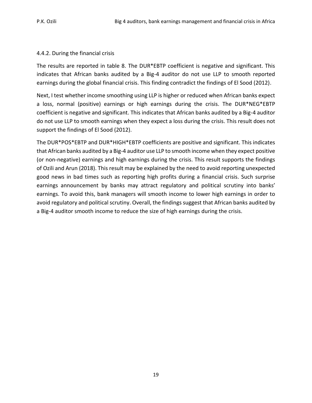# 4.4.2. During the financial crisis

The results are reported in table 8. The DUR\*EBTP coefficient is negative and significant. This indicates that African banks audited by a Big-4 auditor do not use LLP to smooth reported earnings during the global financial crisis. This finding contradict the findings of El Sood (2012).

Next, I test whether income smoothing using LLP is higher or reduced when African banks expect a loss, normal (positive) earnings or high earnings during the crisis. The DUR\*NEG\*EBTP coefficient is negative and significant. This indicates that African banks audited by a Big-4 auditor do not use LLP to smooth earnings when they expect a loss during the crisis. This result does not support the findings of El Sood (2012).

The DUR\*POS\*EBTP and DUR\*HIGH\*EBTP coefficients are positive and significant. This indicates that African banks audited by a Big-4 auditor use LLP to smooth income when they expect positive (or non-negative) earnings and high earnings during the crisis. This result supports the findings of Ozili and Arun (2018). This result may be explained by the need to avoid reporting unexpected good news in bad times such as reporting high profits during a financial crisis. Such surprise earnings announcement by banks may attract regulatory and political scrutiny into banks' earnings. To avoid this, bank managers will smooth income to lower high earnings in order to avoid regulatory and political scrutiny. Overall, the findings suggest that African banks audited by a Big-4 auditor smooth income to reduce the size of high earnings during the crisis.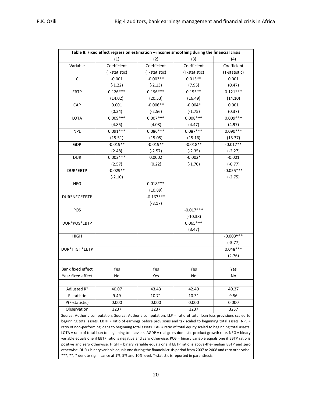| Table 8: Fixed effect regression estimation - income smoothing during the financial crisis |               |               |               |               |  |
|--------------------------------------------------------------------------------------------|---------------|---------------|---------------|---------------|--|
|                                                                                            | (1)           | (2)           | (3)           | (4)           |  |
| Variable                                                                                   | Coefficient   | Coefficient   | Coefficient   | Coefficient   |  |
|                                                                                            | (T-statistic) | (T-statistic) | (T-statistic) | (T-statistic) |  |
| $\mathsf C$                                                                                | $-0.001$      | $-0.003**$    | $0.015**$     | 0.001         |  |
|                                                                                            | $(-1.22)$     | $(-2.13)$     | (7.95)        | (0.47)        |  |
| EBTP                                                                                       | $0.126***$    | $0.196***$    | $0.155***$    | $0.121***$    |  |
|                                                                                            | (14.02)       | (20.53)       | (16.49)       | (14.10)       |  |
| CAP                                                                                        | 0.001         | $-0.006**$    | $-0.004*$     | 0.001         |  |
|                                                                                            | (0.34)        | $(-2.56)$     | $(-1.75)$     | (0.37)        |  |
| LOTA                                                                                       | $0.009***$    | $0.007***$    | $0.008***$    | $0.009***$    |  |
|                                                                                            | (4.85)        | (4.08)        | (4.47)        | (4.97)        |  |
| <b>NPL</b>                                                                                 | $0.091***$    | $0.086***$    | $0.087***$    | $0.090***$    |  |
|                                                                                            | (15.51)       | (15.05)       | (15.16)       | (15.37)       |  |
| GDP                                                                                        | $-0.019**$    | $-0.019**$    | $-0.018**$    | $-0.017**$    |  |
|                                                                                            | (2.48)        | $(-2.57)$     | $(-2.35)$     | $(-2.27)$     |  |
| <b>DUR</b>                                                                                 | $0.002***$    | 0.0002        | $-0.002*$     | $-0.001$      |  |
|                                                                                            | (2.57)        | (0.22)        | $(-1.70)$     | $(-0.77)$     |  |
| DUR*EBTP                                                                                   | $-0.029**$    |               |               | $-0.055***$   |  |
|                                                                                            | $(-2.10)$     |               |               | $(-2.75)$     |  |
| NEG                                                                                        |               | $0.018***$    |               |               |  |
|                                                                                            |               | (10.89)       |               |               |  |
| DUR*NEG*EBTP                                                                               |               | $-0.167***$   |               |               |  |
|                                                                                            |               | $(-8.17)$     |               |               |  |
| POS                                                                                        |               |               | $-0.017***$   |               |  |
|                                                                                            |               |               | $(-10.38)$    |               |  |
| DUR*POS*EBTP                                                                               |               |               | $0.065***$    |               |  |
|                                                                                            |               |               | (3.47)        |               |  |
| <b>HIGH</b>                                                                                |               |               |               | $-0.003***$   |  |
|                                                                                            |               |               |               | $(-3.77)$     |  |
| DUR*HIGH*EBTP                                                                              |               |               |               | $0.048***$    |  |
|                                                                                            |               |               |               | (2.76)        |  |
|                                                                                            |               |               |               |               |  |
| <b>Bank fixed effect</b>                                                                   | Yes           | Yes           | Yes           | Yes           |  |
| Year fixed effect                                                                          | No            | Yes           | No            | No            |  |
|                                                                                            |               |               |               |               |  |
| Adjusted R <sup>2</sup>                                                                    | 40.07         | 43.43         | 42.40         | 40.37         |  |
| F-statistic                                                                                | 9.49          | 10.71         | 10.31         | 9.56          |  |
|                                                                                            |               |               |               |               |  |
| P(F-statistic)                                                                             | 0.000         | 0.000         | 0.000         | 0.000         |  |

Source: Author's computation. Source: Author's computation. LLP = ratio of total loan loss provisions scaled to beginning total assets. EBTP = ratio of earnings before provisions and tax scaled to beginning total assets. NPL = ratio of non-performing loans to beginning total assets. CAP = ratio of total equity scaled to beginning total assets. LOTA = ratio of total loan to beginning total assets. ΔGDP = real gross domestic product growth rate. NEG = binary variable equals one if EBTP ratio is negative and zero otherwise. POS = binary variable equals one if EBTP ratio is positive and zero otherwise. HIGH = binary variable equals one if EBTP ratio is above-the-median EBTP and zero otherwise. DUR = binary variable equals one during the financial crisis period from 2007 to 2008 and zero otherwise. \*\*\*, \*\*, \* denote significance at 1%, 5% and 10% level. T-statistic is reported in parenthesis.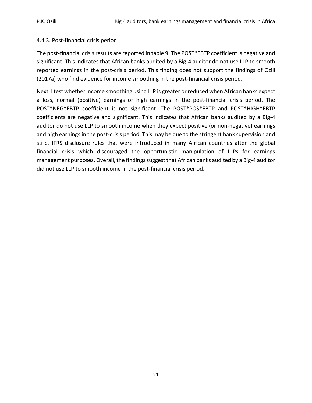#### 4.4.3. Post-financial crisis period

The post-financial crisis results are reported in table 9. The POST\*EBTP coefficient is negative and significant. This indicates that African banks audited by a Big-4 auditor do not use LLP to smooth reported earnings in the post-crisis period. This finding does not support the findings of Ozili (2017a) who find evidence for income smoothing in the post-financial crisis period.

Next, I test whether income smoothing using LLP is greater or reduced when African banks expect a loss, normal (positive) earnings or high earnings in the post-financial crisis period. The POST\*NEG\*EBTP coefficient is not significant. The POST\*POS\*EBTP and POST\*HIGH\*EBTP coefficients are negative and significant. This indicates that African banks audited by a Big-4 auditor do not use LLP to smooth income when they expect positive (or non-negative) earnings and high earnings in the post-crisis period. This may be due to the stringent bank supervision and strict IFRS disclosure rules that were introduced in many African countries after the global financial crisis which discouraged the opportunistic manipulation of LLPs for earnings management purposes. Overall, the findings suggest that African banks audited by a Big-4 auditor did not use LLP to smooth income in the post-financial crisis period.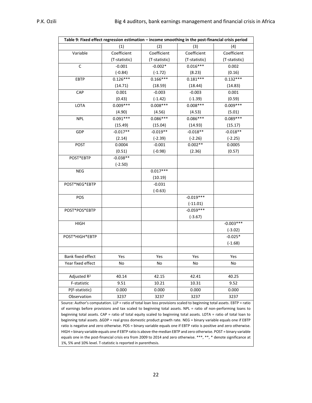| Table 9: Fixed effect regression estimation - income smoothing in the post-financial crisis period |               |               |               |               |  |  |
|----------------------------------------------------------------------------------------------------|---------------|---------------|---------------|---------------|--|--|
|                                                                                                    | (1)           | (2)           | (3)           | (4)           |  |  |
| Variable                                                                                           | Coefficient   | Coefficient   | Coefficient   | Coefficient   |  |  |
|                                                                                                    | (T-statistic) | (T-statistic) | (T-statistic) | (T-statistic) |  |  |
| $\mathsf{C}$                                                                                       | $-0.001$      | $-0.002*$     | $0.016***$    | 0.002         |  |  |
|                                                                                                    | $(-0.84)$     | $(-1.72)$     | (8.23)        | (0.16)        |  |  |
| <b>EBTP</b>                                                                                        | $0.126***$    | $0.166***$    | $0.181***$    | $0.132***$    |  |  |
|                                                                                                    | (14.71)       | (18.59)       | (18.44)       | (14.83)       |  |  |
| CAP                                                                                                | 0.001         | $-0.003$      | $-0.003$      | 0.001         |  |  |
|                                                                                                    | (0.43)        | $(-1.42)$     | $(-1.39)$     | (0.59)        |  |  |
| LOTA                                                                                               | $0.009***$    | $0.008***$    | $0.008***$    | $0.009***$    |  |  |
|                                                                                                    | (4.90)        | (4.56)        | (4.53)        | (5.01)        |  |  |
| <b>NPL</b>                                                                                         | $0.091***$    | $0.086***$    | $0.086***$    | $0.089***$    |  |  |
|                                                                                                    | (15.49)       | (15.04)       | (14.93)       | (15.17)       |  |  |
| GDP                                                                                                | $-0.017**$    | $-0.019**$    | $-0.018**$    | $-0.018**$    |  |  |
|                                                                                                    | (2.14)        | $(-2.39)$     | $(-2.26)$     | $(-2.25)$     |  |  |
| <b>POST</b>                                                                                        | 0.0004        | $-0.001$      | $0.002**$     | 0.0005        |  |  |
|                                                                                                    | (0.51)        | $(-0.98)$     | (2.36)        | (0.57)        |  |  |
| POST*EBTP                                                                                          | $-0.038**$    |               |               |               |  |  |
|                                                                                                    | $(-2.50)$     |               |               |               |  |  |
| <b>NEG</b>                                                                                         |               | $0.017***$    |               |               |  |  |
|                                                                                                    |               | (10.19)       |               |               |  |  |
| POST*NEG*EBTP                                                                                      |               | $-0.031$      |               |               |  |  |
|                                                                                                    |               | $(-0.63)$     |               |               |  |  |
| POS                                                                                                |               |               | $-0.019***$   |               |  |  |
|                                                                                                    |               |               | $(-11.01)$    |               |  |  |
| POST*POS*EBTP                                                                                      |               |               | $-0.059***$   |               |  |  |
|                                                                                                    |               |               | $(-3.67)$     |               |  |  |
| <b>HIGH</b>                                                                                        |               |               |               | $-0.003***$   |  |  |
|                                                                                                    |               |               |               | $(-3.02)$     |  |  |
| POST*HIGH*EBTP                                                                                     |               |               |               | $-0.025*$     |  |  |
|                                                                                                    |               |               |               | $(-1.68)$     |  |  |
|                                                                                                    |               |               |               |               |  |  |
| <b>Bank fixed effect</b>                                                                           | Yes           | Yes           | Yes           | Yes           |  |  |
| Year fixed effect                                                                                  | No            | No            | No            | No            |  |  |
|                                                                                                    |               |               |               |               |  |  |
| Adjusted R <sup>2</sup>                                                                            | 40.14         | 42.15         | 42.41         | 40.25         |  |  |
| F-statistic                                                                                        | 9.51          | 10.21         | 10.31         | 9.52          |  |  |
| P(F-statistic)                                                                                     | 0.000         | 0.000         | 0.000         | 0.000         |  |  |
| Observation                                                                                        | 3237          | 3237          | 3237          | 3237          |  |  |

Source: Author's computation. LLP = ratio of total loan loss provisions scaled to beginning total assets. EBTP = ratio of earnings before provisions and tax scaled to beginning total assets. NPL = ratio of non-performing loans to beginning total assets. CAP = ratio of total equity scaled to beginning total assets. LOTA = ratio of total loan to beginning total assets. ΔGDP = real gross domestic product growth rate. NEG = binary variable equals one if EBTP ratio is negative and zero otherwise. POS = binary variable equals one if EBTP ratio is positive and zero otherwise. HIGH = binary variable equals one if EBTP ratio is above-the-median EBTP and zero otherwise. POST = binary variable equals one in the post-financial crisis era from 2009 to 2014 and zero otherwise. \*\*\*, \*\*, \* denote significance at 1%, 5% and 10% level. T-statistic is reported in parenthesis.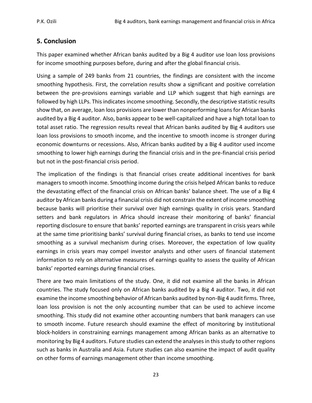# **5. Conclusion**

This paper examined whether African banks audited by a Big 4 auditor use loan loss provisions for income smoothing purposes before, during and after the global financial crisis.

Using a sample of 249 banks from 21 countries, the findings are consistent with the income smoothing hypothesis. First, the correlation results show a significant and positive correlation between the pre-provisions earnings variable and LLP which suggest that high earnings are followed by high LLPs. This indicates income smoothing. Secondly, the descriptive statistic results show that, on average, loan loss provisions are lower than nonperforming loans for African banks audited by a Big 4 auditor. Also, banks appear to be well-capitalized and have a high total loan to total asset ratio. The regression results reveal that African banks audited by Big 4 auditors use loan loss provisions to smooth income, and the incentive to smooth income is stronger during economic downturns or recessions. Also, African banks audited by a Big 4 auditor used income smoothing to lower high earnings during the financial crisis and in the pre-financial crisis period but not in the post-financial crisis period.

The implication of the findings is that financial crises create additional incentives for bank managers to smooth income. Smoothing income during the crisis helped African banks to reduce the devastating effect of the financial crisis on African banks' balance sheet. The use of a Big 4 auditor by African banks during a financial crisis did not constrain the extent of income smoothing because banks will prioritise their survival over high earnings quality in crisis years. Standard setters and bank regulators in Africa should increase their monitoring of banks' financial reporting disclosure to ensure that banks' reported earnings are transparent in crisis years while at the same time prioritising banks' survival during financial crises, as banks to tend use income smoothing as a survival mechanism during crises. Moreover, the expectation of low quality earnings in crisis years may compel investor analysts and other users of financial statement information to rely on alternative measures of earnings quality to assess the quality of African banks' reported earnings during financial crises.

There are two main limitations of the study. One, it did not examine all the banks in African countries. The study focused only on African banks audited by a Big 4 auditor. Two, it did not examine the income smoothing behavior of African banks audited by non-Big 4 audit firms. Three, loan loss provision is not the only accounting number that can be used to achieve income smoothing. This study did not examine other accounting numbers that bank managers can use to smooth income. Future research should examine the effect of monitoring by institutional block-holders in constraining earnings management among African banks as an alternative to monitoring by Big 4 auditors. Future studies can extend the analyses in this study to other regions such as banks in Australia and Asia. Future studies can also examine the impact of audit quality on other forms of earnings management other than income smoothing.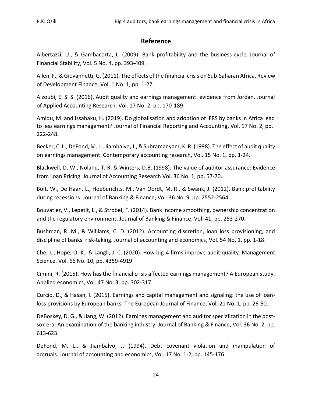# **Reference**

Albertazzi, U., & Gambacorta, L. (2009). Bank profitability and the business cycle. Journal of Financial Stability, Vol. 5 No. 4, pp. 393-409.

Allen, F., & Giovannetti, G. (2011). The effects of the financial crisis on Sub-Saharan Africa. Review of Development Finance, Vol. 1 No. 1, pp. 1-27.

Alzoubi, E. S. S. (2016). Audit quality and earnings management: evidence from Jordan. Journal of Applied Accounting Research. Vol. 17 No. 2, pp. 170-189

Amidu, M. and Issahaku, H. (2019). Do globalisation and adoption of IFRS by banks in Africa lead to less earnings management? Journal of Financial Reporting and Accounting, Vol. 17 No. 2, pp. 222-248.

Becker, C. L., DeFond, M. L., Jiambalvo, J., & Subramanyam, K. R. (1998). The effect of audit quality on earnings management. Contemporary accounting research, Vol. 15 No. 1, pp. 1-24.

Blackwell, D. W., Noland, T. R. & Winters, D.B. (1998). The value of auditor assurance: Evidence from Loan Pricing. Journal of Accounting Research Vol. 36 No. 1, pp. 57-70.

Bolt, W., De Haan, L., Hoeberichts, M., Van Oordt, M. R., & Swank, J. (2012). Bank profitability during recessions. Journal of Banking & Finance, Vol. 36 No. 9, pp. 2552-2564.

Bouvatier, V., Lepetit, L., & Strobel, F. (2014). Bank income smoothing, ownership concentration and the regulatory environment. Journal of Banking & Finance, Vol. 41, pp. 253-270.

Bushman, R. M., & Williams, C. D. (2012). Accounting discretion, loan loss provisioning, and discipline of banks' risk-taking. Journal of accounting and economics, Vol. 54 No. 1, pp. 1-18.

Che, L., Hope, O. K., & Langli, J. C. (2020). How big-4 firms improve audit quality. Management Science. Vol. 66 No. 10, pp. 4359-4919

Cimini, R. (2015). How has the financial crisis affected earnings management? A European study. Applied economics, Vol. 47 No. 3, pp. 302-317.

Curcio, D., & Hasan, I. (2015). Earnings and capital management and signaling: the use of loanloss provisions by European banks. The European Journal of Finance, Vol. 21 No. 1, pp. 26-50.

DeBoskey, D. G., & Jiang, W. (2012). Earnings management and auditor specialization in the postsox era: An examination of the banking industry. Journal of Banking & Finance, Vol. 36 No. 2, pp. 613-623.

DeFond, M. L., & Jiambalvo, J. (1994). Debt covenant violation and manipulation of accruals. Journal of accounting and economics, Vol. 17 No. 1-2, pp. 145-176.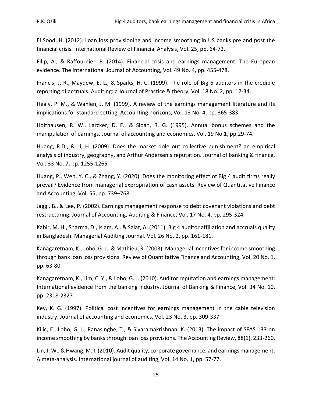El Sood, H. (2012). Loan loss provisioning and income smoothing in US banks pre and post the financial crisis. International Review of Financial Analysis, Vol. 25, pp. 64-72.

Filip, A., & Raffournier, B. (2014). Financial crisis and earnings management: The European evidence. The International Journal of Accounting, Vol. 49 No. 4, pp. 455-478.

Francis, J. R., Maydew, E. L., & Sparks, H. C. (1999). The role of Big 6 auditors in the credible reporting of accruals. Auditing: a Journal of Practice & theory, Vol. 18 No. 2, pp. 17-34.

Healy, P. M., & Wahlen, J. M. (1999). A review of the earnings management literature and its implications for standard setting. Accounting horizons, Vol. 13 No. 4, pp. 365-383.

Holthausen, R. W., Larcker, D. F., & Sloan, R. G. (1995). Annual bonus schemes and the manipulation of earnings. Journal of accounting and economics, Vol. 19 No.1, pp.29-74.

Huang, R.D., & Li, H. (2009). Does the market dole out collective punishment? an empirical analysis of industry, geography, and Arthur Andersen's reputation. Journal of banking & finance, Vol. 33 No. 7, pp. 1255-1265

Huang, P., Wen, Y. C., & Zhang, Y. (2020). Does the monitoring effect of Big 4 audit firms really prevail? Evidence from managerial expropriation of cash assets. Review of Quantitative Finance and Accounting, Vol. 55, pp. 739–768.

Jaggi, B., & Lee, P. (2002). Earnings management response to debt covenant violations and debt restructuring. Journal of Accounting, Auditing & Finance, Vol. 17 No. 4, pp. 295-324.

Kabir, M. H., Sharma, D., Islam, A., & Salat, A. (2011). Big 4 auditor affiliation and accruals quality in Bangladesh. Managerial Auditing Journal. Vol. 26 No. 2, pp. 161-181.

Kanagaretnam, K., Lobo, G. J., & Mathieu, R. (2003). Managerial incentives for income smoothing through bank loan loss provisions. Review of Quantitative Finance and Accounting, Vol. 20 No. 1, pp. 63-80.

Kanagaretnam, K., Lim, C. Y., & Lobo, G. J. (2010). Auditor reputation and earnings management: International evidence from the banking industry. Journal of Banking & Finance, Vol. 34 No. 10, pp. 2318-2327.

Key, K. G. (1997). Political cost incentives for earnings management in the cable television industry. Journal of accounting and economics, Vol. 23 No. 3, pp. 309-337.

Kilic, E., Lobo, G. J., Ranasinghe, T., & Sivaramakrishnan, K. (2013). The impact of SFAS 133 on income smoothing by banks through loan loss provisions. The Accounting Review, 88(1), 233-260.

Lin, J. W., & Hwang, M. I. (2010). Audit quality, corporate governance, and earnings management: A meta‐analysis. International journal of auditing, Vol. 14 No. 1, pp. 57-77.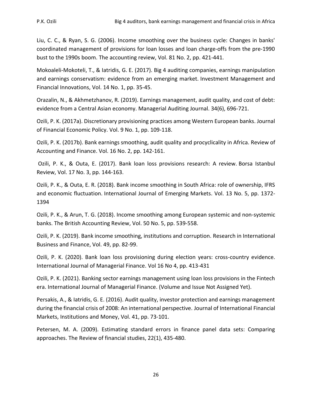Liu, C. C., & Ryan, S. G. (2006). Income smoothing over the business cycle: Changes in banks' coordinated management of provisions for loan losses and loan charge‐offs from the pre‐1990 bust to the 1990s boom. The accounting review, Vol. 81 No. 2, pp. 421-441.

Mokoaleli-Mokoteli, T., & Iatridis, G. E. (2017). Big 4 auditing companies, earnings manipulation and earnings conservatism: evidence from an emerging market. Investment Management and Financial Innovations, Vol. 14 No. 1, pp. 35-45.

Orazalin, N., & Akhmetzhanov, R. (2019). Earnings management, audit quality, and cost of debt: evidence from a Central Asian economy. Managerial Auditing Journal. 34(6), 696-721.

Ozili, P. K. (2017a). Discretionary provisioning practices among Western European banks. Journal of Financial Economic Policy. Vol. 9 No. 1, pp. 109-118.

Ozili, P. K. (2017b). Bank earnings smoothing, audit quality and procyclicality in Africa. Review of Accounting and Finance. Vol. 16 No. 2, pp. 142-161.

 Ozili, P. K., & Outa, E. (2017). Bank loan loss provisions research: A review. Borsa Istanbul Review, Vol. 17 No. 3, pp. 144-163.

Ozili, P. K., & Outa, E. R. (2018). Bank income smoothing in South Africa: role of ownership, IFRS and economic fluctuation. International Journal of Emerging Markets. Vol. 13 No. 5, pp. 1372- 1394

Ozili, P. K., & Arun, T. G. (2018). Income smoothing among European systemic and non-systemic banks. The British Accounting Review, Vol. 50 No. 5, pp. 539-558.

Ozili, P. K. (2019). Bank income smoothing, institutions and corruption. Research in International Business and Finance, Vol. 49, pp. 82-99.

Ozili, P. K. (2020). Bank loan loss provisioning during election years: cross-country evidence. International Journal of Managerial Finance. Vol 16 No 4, pp. 413-431

Ozili, P. K. (2021). Banking sector earnings management using loan loss provisions in the Fintech era. International Journal of Managerial Finance. (Volume and Issue Not Assigned Yet).

Persakis, A., & Iatridis, G. E. (2016). Audit quality, investor protection and earnings management during the financial crisis of 2008: An international perspective. Journal of International Financial Markets, Institutions and Money, Vol. 41, pp. 73-101.

Petersen, M. A. (2009). Estimating standard errors in finance panel data sets: Comparing approaches. The Review of financial studies, 22(1), 435-480.